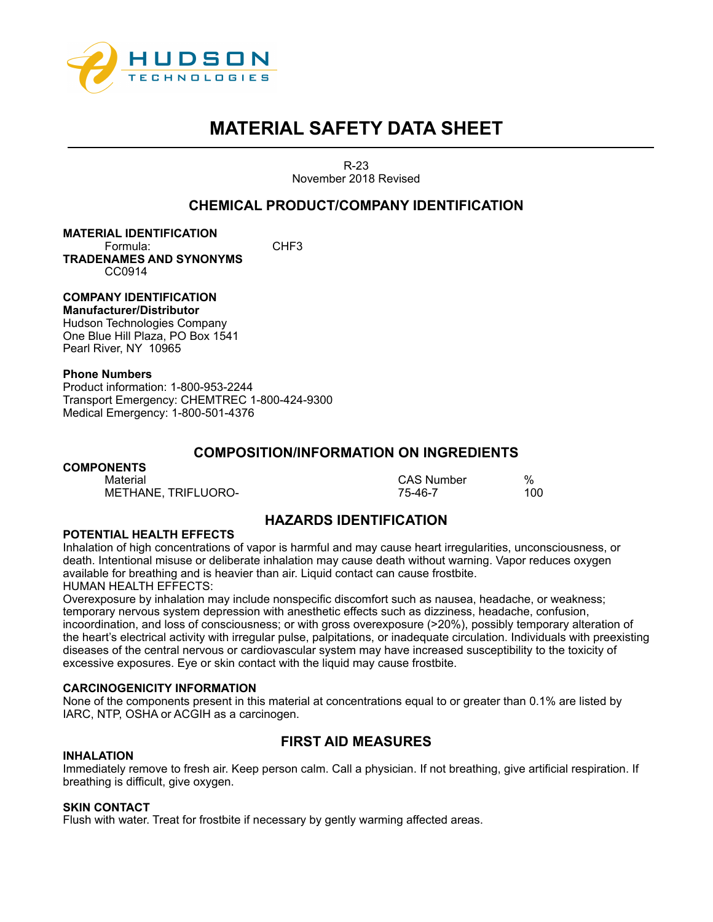

R-23 November 2018 Revised

## **CHEMICAL PRODUCT/COMPANY IDENTIFICATION**

**MATERIAL IDENTIFICATION** Formula: CHF3 **TRADENAMES AND SYNONYMS** CC0914

**COMPANY IDENTIFICATION Manufacturer/Distributor**  Hudson Technologies Company

One Blue Hill Plaza, PO Box 1541 Pearl River, NY 10965

## **Phone Numbers**

Product information: 1-800-953-2244 Transport Emergency: CHEMTREC 1-800-424-9300 Medical Emergency: 1-800-501-4376

## **COMPOSITION/INFORMATION ON INGREDIENTS**

## **COMPONENTS**

METHANE, TRIFLUORO-

Material CAS Number %

# **HAZARDS IDENTIFICATION**

## **POTENTIAL HEALTH EFFECTS**

Inhalation of high concentrations of vapor is harmful and may cause heart irregularities, unconsciousness, or death. Intentional misuse or deliberate inhalation may cause death without warning. Vapor reduces oxygen available for breathing and is heavier than air. Liquid contact can cause frostbite. HUMAN HEALTH EFFECTS:

Overexposure by inhalation may include nonspecific discomfort such as nausea, headache, or weakness; temporary nervous system depression with anesthetic effects such as dizziness, headache, confusion, incoordination, and loss of consciousness; or with gross overexposure (>20%), possibly temporary alteration of the heart's electrical activity with irregular pulse, palpitations, or inadequate circulation. Individuals with preexisting diseases of the central nervous or cardiovascular system may have increased susceptibility to the toxicity of excessive exposures. Eye or skin contact with the liquid may cause frostbite.

## **CARCINOGENICITY INFORMATION**

None of the components present in this material at concentrations equal to or greater than 0.1% are listed by IARC, NTP, OSHA or ACGIH as a carcinogen.

# **FIRST AID MEASURES**

## **INHALATION**

Immediately remove to fresh air. Keep person calm. Call a physician. If not breathing, give artificial respiration. If breathing is difficult, give oxygen.

## **SKIN CONTACT**

Flush with water. Treat for frostbite if necessary by gently warming affected areas.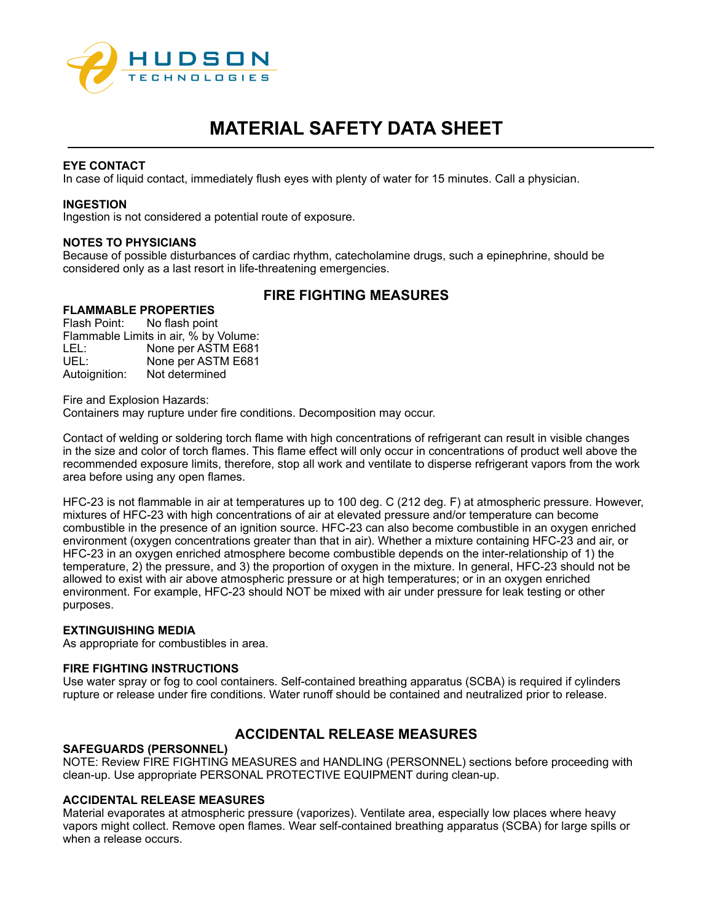

## **EYE CONTACT**

In case of liquid contact, immediately flush eyes with plenty of water for 15 minutes. Call a physician.

#### **INGESTION**

Ingestion is not considered a potential route of exposure.

#### **NOTES TO PHYSICIANS**

Because of possible disturbances of cardiac rhythm, catecholamine drugs, such a epinephrine, should be considered only as a last resort in life-threatening emergencies.

## **FIRE FIGHTING MEASURES**

## **FLAMMABLE PROPERTIES**

Flash Point: No flash point Flammable Limits in air, % by Volume: LEL: None per ASTM E681 UEL: None per ASTM E681 Autoignition: Not determined

Fire and Explosion Hazards: Containers may rupture under fire conditions. Decomposition may occur.

Contact of welding or soldering torch flame with high concentrations of refrigerant can result in visible changes

in the size and color of torch flames. This flame effect will only occur in concentrations of product well above the recommended exposure limits, therefore, stop all work and ventilate to disperse refrigerant vapors from the work area before using any open flames.

HFC-23 is not flammable in air at temperatures up to 100 deg. C (212 deg. F) at atmospheric pressure. However, mixtures of HFC-23 with high concentrations of air at elevated pressure and/or temperature can become combustible in the presence of an ignition source. HFC-23 can also become combustible in an oxygen enriched environment (oxygen concentrations greater than that in air). Whether a mixture containing HFC-23 and air, or HFC-23 in an oxygen enriched atmosphere become combustible depends on the inter-relationship of 1) the temperature, 2) the pressure, and 3) the proportion of oxygen in the mixture. In general, HFC-23 should not be allowed to exist with air above atmospheric pressure or at high temperatures; or in an oxygen enriched environment. For example, HFC-23 should NOT be mixed with air under pressure for leak testing or other purposes.

## **EXTINGUISHING MEDIA**

As appropriate for combustibles in area.

## **FIRE FIGHTING INSTRUCTIONS**

Use water spray or fog to cool containers. Self-contained breathing apparatus (SCBA) is required if cylinders rupture or release under fire conditions. Water runoff should be contained and neutralized prior to release.

# **ACCIDENTAL RELEASE MEASURES**

## **SAFEGUARDS (PERSONNEL)**

NOTE: Review FIRE FIGHTING MEASURES and HANDLING (PERSONNEL) sections before proceeding with clean-up. Use appropriate PERSONAL PROTECTIVE EQUIPMENT during clean-up.

## **ACCIDENTAL RELEASE MEASURES**

Material evaporates at atmospheric pressure (vaporizes). Ventilate area, especially low places where heavy vapors might collect. Remove open flames. Wear self-contained breathing apparatus (SCBA) for large spills or when a release occurs.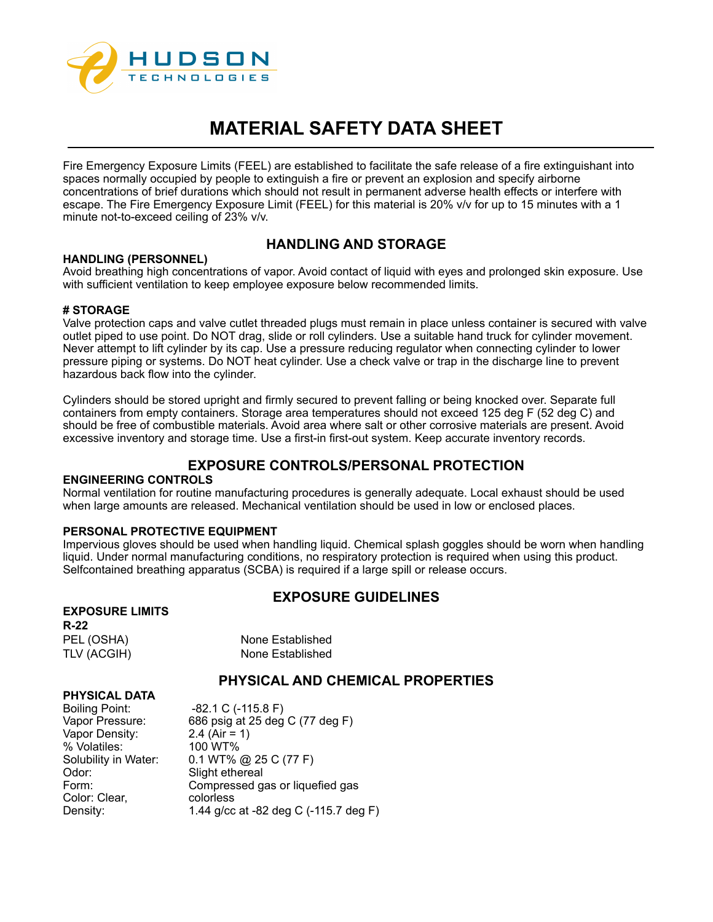

Fire Emergency Exposure Limits (FEEL) are established to facilitate the safe release of a fire extinguishant into spaces normally occupied by people to extinguish a fire or prevent an explosion and specify airborne concentrations of brief durations which should not result in permanent adverse health effects or interfere with escape. The Fire Emergency Exposure Limit (FEEL) for this material is 20% v/v for up to 15 minutes with a 1 minute not-to-exceed ceiling of 23% v/v.

## **HANDLING (PERSONNEL)**

## **HANDLING AND STORAGE**

Avoid breathing high concentrations of vapor. Avoid contact of liquid with eyes and prolonged skin exposure. Use with sufficient ventilation to keep employee exposure below recommended limits.

## **# STORAGE**

Valve protection caps and valve cutlet threaded plugs must remain in place unless container is secured with valve outlet piped to use point. Do NOT drag, slide or roll cylinders. Use a suitable hand truck for cylinder movement. Never attempt to lift cylinder by its cap. Use a pressure reducing regulator when connecting cylinder to lower pressure piping or systems. Do NOT heat cylinder. Use a check valve or trap in the discharge line to prevent hazardous back flow into the cylinder.

Cylinders should be stored upright and firmly secured to prevent falling or being knocked over. Separate full containers from empty containers. Storage area temperatures should not exceed 125 deg F (52 deg C) and should be free of combustible materials. Avoid area where salt or other corrosive materials are present. Avoid excessive inventory and storage time. Use a first-in first-out system. Keep accurate inventory records.

# **EXPOSURE CONTROLS/PERSONAL PROTECTION**

## **ENGINEERING CONTROLS**

Normal ventilation for routine manufacturing procedures is generally adequate. Local exhaust should be used when large amounts are released. Mechanical ventilation should be used in low or enclosed places.

## **PERSONAL PROTECTIVE EQUIPMENT**

Impervious gloves should be used when handling liquid. Chemical splash goggles should be worn when handling liquid. Under normal manufacturing conditions, no respiratory protection is required when using this product. Selfcontained breathing apparatus (SCBA) is required if a large spill or release occurs.

## **EXPOSURE GUIDELINES**

**PHYSICAL DATA**

None Established None Established

# **PHYSICAL AND CHEMICAL PROPERTIES**

| . 919AL 9AIA         |                                       |
|----------------------|---------------------------------------|
| Boiling Point:       | $-82.1 \text{ C}$ (-115.8 F)          |
| Vapor Pressure:      | 686 psig at 25 deg C (77 deg F)       |
| Vapor Density:       | 2.4 (Air = 1)                         |
| % Volatiles:         | 100 WT%                               |
| Solubility in Water: | 0.1 WT% @ 25 C (77 F)                 |
| Odor:                | Slight ethereal                       |
| Form:                | Compressed gas or liquefied gas       |
| Color: Clear,        | colorless                             |
| Density:             | 1.44 g/cc at -82 deg C (-115.7 deg F) |
|                      |                                       |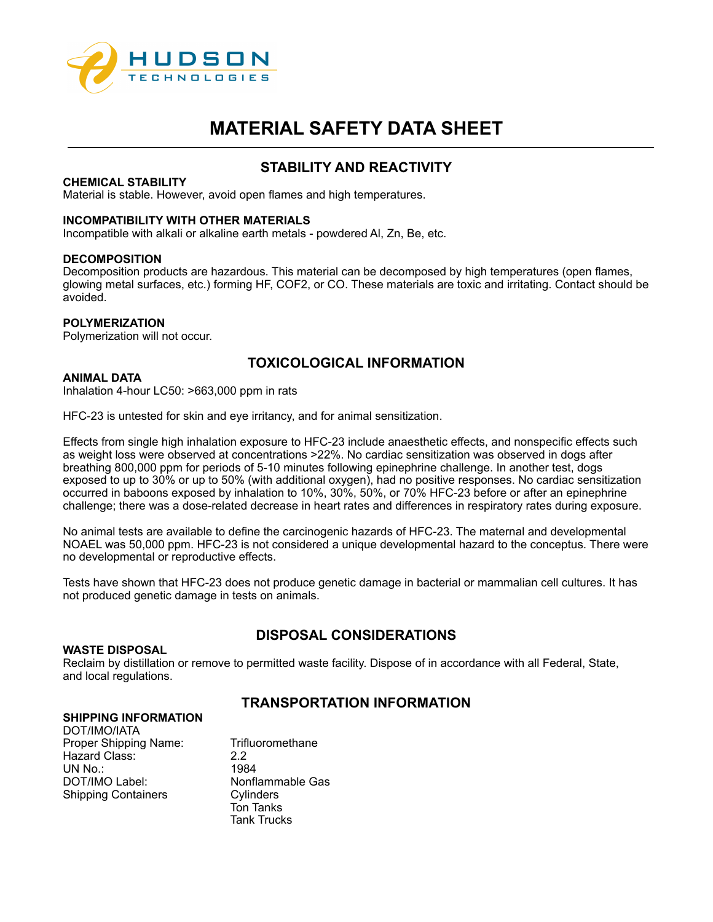

## **STABILITY AND REACTIVITY**

## **CHEMICAL STABILITY**

Material is stable. However, avoid open flames and high temperatures.

## **INCOMPATIBILITY WITH OTHER MATERIALS**

Incompatible with alkali or alkaline earth metals - powdered Al, Zn, Be, etc.

## **DECOMPOSITION**

Decomposition products are hazardous. This material can be decomposed by high temperatures (open flames, glowing metal surfaces, etc.) forming HF, COF2, or CO. These materials are toxic and irritating. Contact should be avoided.

## **POLYMERIZATION**

Polymerization will not occur.

# **TOXICOLOGICAL INFORMATION**

## **ANIMAL DATA**

Inhalation 4-hour LC50: >663,000 ppm in rats

HFC-23 is untested for skin and eye irritancy, and for animal sensitization.

Effects from single high inhalation exposure to HFC-23 include anaesthetic effects, and nonspecific effects such as weight loss were observed at concentrations >22%. No cardiac sensitization was observed in dogs after breathing 800,000 ppm for periods of 5-10 minutes following epinephrine challenge. In another test, dogs exposed to up to 30% or up to 50% (with additional oxygen), had no positive responses. No cardiac sensitization occurred in baboons exposed by inhalation to 10%, 30%, 50%, or 70% HFC-23 before or after an epinephrine challenge; there was a dose-related decrease in heart rates and differences in respiratory rates during exposure.

No animal tests are available to define the carcinogenic hazards of HFC-23. The maternal and developmental NOAEL was 50,000 ppm. HFC-23 is not considered a unique developmental hazard to the conceptus. There were no developmental or reproductive effects.

Tests have shown that HFC-23 does not produce genetic damage in bacterial or mammalian cell cultures. It has not produced genetic damage in tests on animals.

# **DISPOSAL CONSIDERATIONS**

## **WASTE DISPOSAL**

Reclaim by distillation or remove to permitted waste facility. Dispose of in accordance with all Federal, State, and local regulations.

## **TRANSPORTATION INFORMATION**

## **SHIPPING INFORMATION**

DOT/IMO/IATA Proper Shipping Name: Trifluoromethane Hazard Class: 2.2<br>
UN No.: 1984 UN No.: DOT/IMO Label: Nonflammable Gas<br>
Shipping Containers Cylinders Shipping Containers

Ton Tanks Tank Trucks